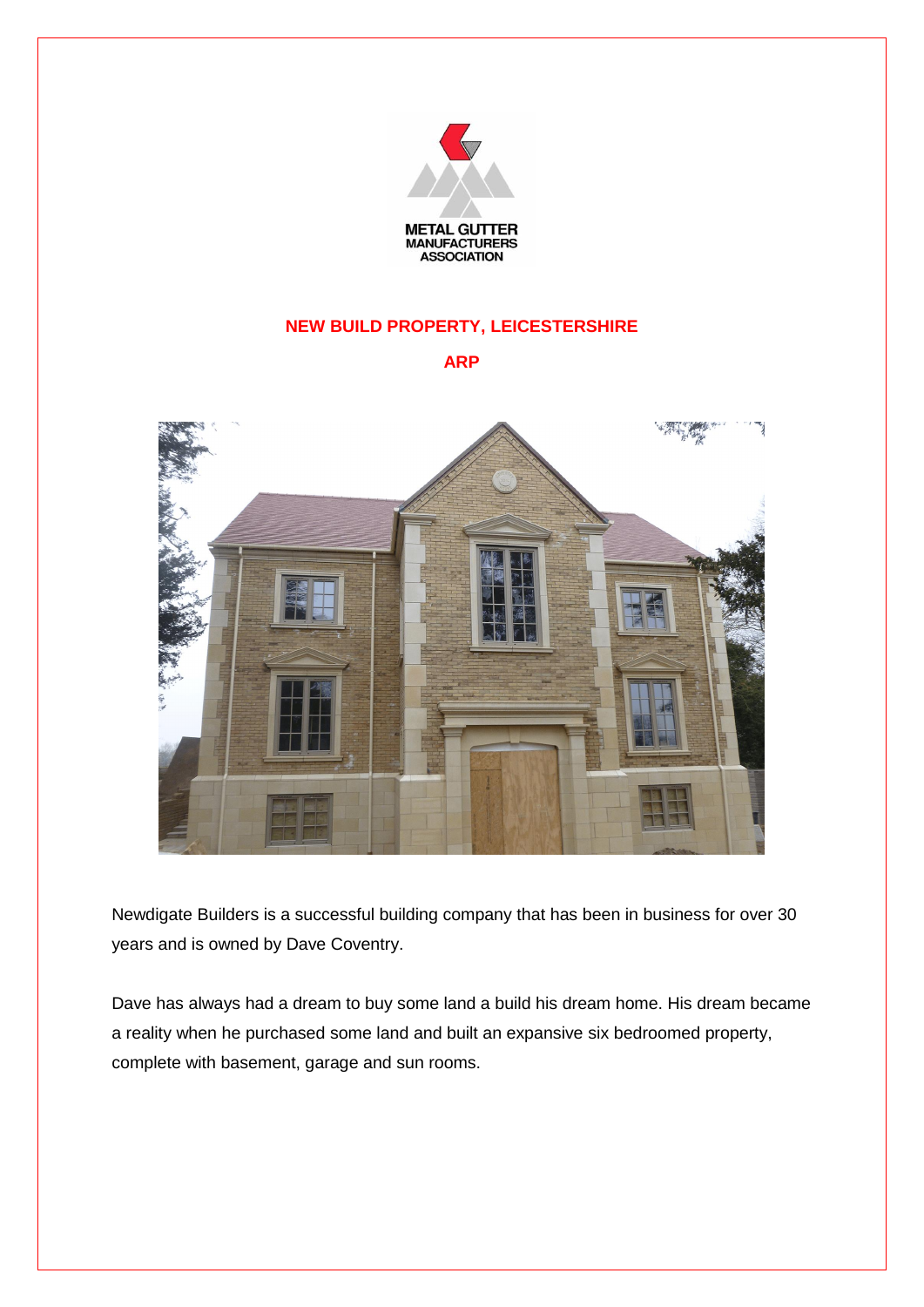

## **NEW BUILD PROPERTY, LEICESTERSHIRE**

**ARP**



Newdigate Builders is a successful building company that has been in business for over 30 years and is owned by Dave Coventry.

Dave has always had a dream to buy some land a build his dream home. His dream became a reality when he purchased some land and built an expansive six bedroomed property, complete with basement, garage and sun rooms.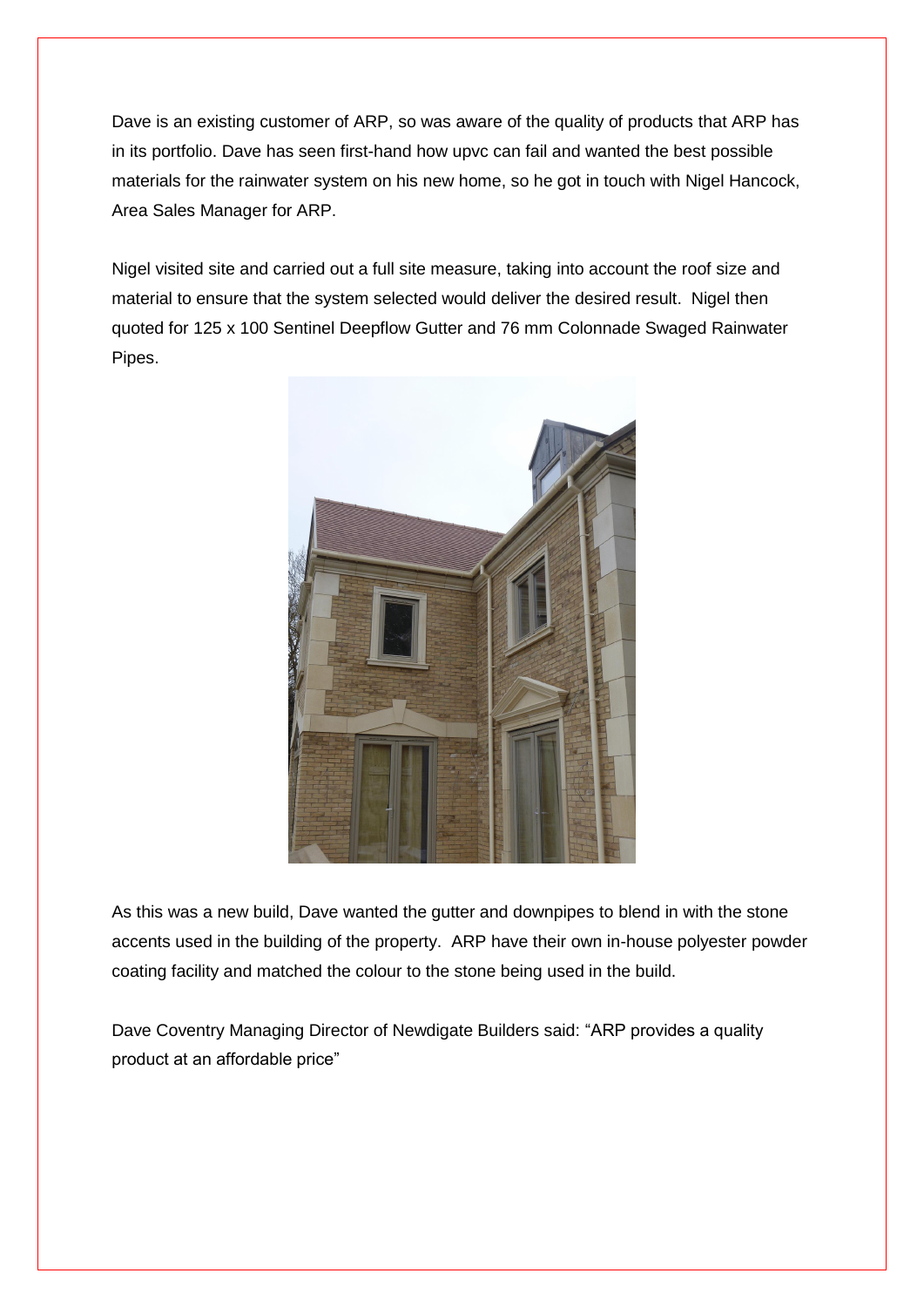Dave is an existing customer of ARP, so was aware of the quality of products that ARP has in its portfolio. Dave has seen first-hand how upvc can fail and wanted the best possible materials for the rainwater system on his new home, so he got in touch with Nigel Hancock, Area Sales Manager for ARP.

Nigel visited site and carried out a full site measure, taking into account the roof size and material to ensure that the system selected would deliver the desired result. Nigel then quoted for 125 x 100 Sentinel Deepflow Gutter and 76 mm Colonnade Swaged Rainwater Pipes.



As this was a new build, Dave wanted the gutter and downpipes to blend in with the stone accents used in the building of the property. ARP have their own in-house polyester powder coating facility and matched the colour to the stone being used in the build.

Dave Coventry Managing Director of Newdigate Builders said: "ARP provides a quality product at an affordable price"